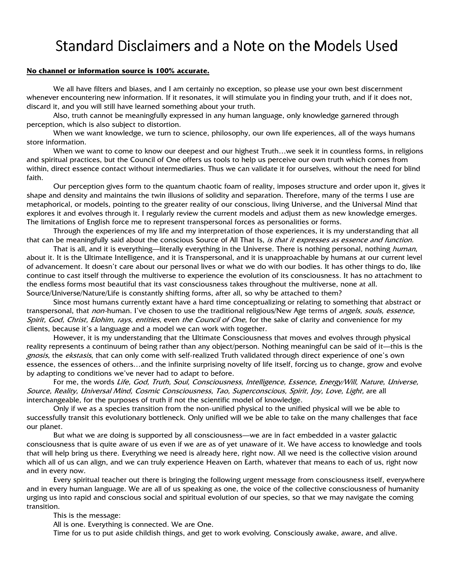## Standard Disclaimers and a Note on the Models Used

#### **No channel or information source is 100% accurate.**

We all have filters and biases, and I am certainly no exception, so please use your own best discernment whenever encountering new information. If it resonates, it will stimulate you in finding your truth, and if it does not, discard it, and you will still have learned something about your truth.

Also, truth cannot be meaningfully expressed in any human language, only knowledge garnered through perception, which is also subject to distortion.

When we want knowledge, we turn to science, philosophy, our own life experiences, all of the ways humans store information.

When we want to come to know our deepest and our highest Truth…we seek it in countless forms, in religions and spiritual practices, but the Council of One offers us tools to help us perceive our own truth which comes from within, direct essence contact without intermediaries. Thus we can validate it for ourselves, without the need for blind faith.

Our perception gives form to the quantum chaotic foam of reality, imposes structure and order upon it, gives it shape and density and maintains the twin illusions of solidity and separation. Therefore, many of the terms I use are metaphorical, or models, pointing to the greater reality of our conscious, living Universe, and the Universal Mind that explores it and evolves through it. I regularly review the current models and adjust them as new knowledge emerges. The limitations of English force me to represent transpersonal forces as personalities or forms.

Through the experiences of my life and my interpretation of those experiences, it is my understanding that all that can be meaningfully said about the conscious Source of All That Is, is that it expresses as essence and function.

That is all, and it is everything—literally everything in the Universe. There is nothing personal, nothing human, about it. It is the Ultimate Intelligence, and it is Transpersonal, and it is unapproachable by humans at our current level of advancement. It doesn't care about our personal lives or what we do with our bodies. It has other things to do, like continue to cast itself through the multiverse to experience the evolution of its consciousness. It has no attachment to the endless forms most beautiful that its vast consciousness takes throughout the multiverse, none at all. Source/Universe/Nature/Life is constantly shifting forms, after all, so why be attached to them?

Since most humans currently extant have a hard time conceptualizing or relating to something that abstract or transpersonal, that *non-*human. I've chosen to use the traditional religious/New Age terms of *angels, souls, essence,* Spirit, God, Christ, Elohim, rays, entities, even the Council of One, for the sake of clarity and convenience for my clients, because it's a language and a model we can work with together.

However, it is my understanding that the Ultimate Consciousness that moves and evolves through physical reality represents a continuum of being rather than any object/person. Nothing meaningful can be said of it—this is the gnosis, the ekstasis, that can only come with self-realized Truth validated through direct experience of one's own essence, the essences of others…and the infinite surprising novelty of life itself, forcing us to change, grow and evolve by adapting to conditions we've never had to adapt to before.

For me, the words Life, God, Truth, Soul, Consciousness, Intelligence, Essence, Energy/Will, Nature, Universe, Source, Reality, Universal Mind, Cosmic Consciousness, Tao, Superconscious, Spirit, Joy, Love, Light, are all interchangeable, for the purposes of truth if not the scientific model of knowledge.

Only if we as a species transition from the non-unified physical to the unified physical will we be able to successfully transit this evolutionary bottleneck. Only unified will we be able to take on the many challenges that face our planet.

But what we are doing is supported by all consciousness—we are in fact embedded in a vaster galactic consciousness that is quite aware of us even if we are as of yet unaware of it. We have access to knowledge and tools that will help bring us there. Everything we need is already here, right now. All we need is the collective vision around which all of us can align, and we can truly experience Heaven on Earth, whatever that means to each of us, right now and in every now.

Every spiritual teacher out there is bringing the following urgent message from consciousness itself, everywhere and in every human language. We are all of us speaking as one, the voice of the collective consciousness of humanity urging us into rapid and conscious social and spiritual evolution of our species, so that we may navigate the coming transition.

This is the message:

All is one. Everything is connected. We are One.

Time for us to put aside childish things, and get to work evolving. Consciously awake, aware, and alive.